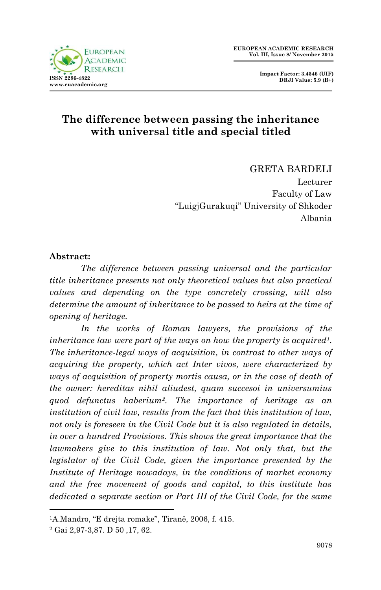



## **The difference between passing the inheritance with universal title and special titled**

GRETA BARDELI Lecturer Faculty of Law "LuigjGurakuqi" University of Shkoder Albania

#### **Abstract:**

*The difference between passing universal and the particular title inheritance presents not only theoretical values but also practical values and depending on the type concretely crossing, will also determine the amount of inheritance to be passed to heirs at the time of opening of heritage.*

*In the works of Roman lawyers, the provisions of the inheritance law were part of the ways on how the property is acquired1. The inheritance-legal ways of acquisition, in contrast to other ways of acquiring the property, which act Inter vivos, were characterized by ways of acquisition of property mortis causa, or in the case of death of the owner: hereditas nihil aliudest, quam succesoi in universumius quod defunctus haberium2. The importance of heritage as an institution of civil law, results from the fact that this institution of law, not only is foreseen in the Civil Code but it is also regulated in details, in over a hundred Provisions. This shows the great importance that the lawmakers give to this institution of law. Not only that, but the legislator of the Civil Code, given the importance presented by the Institute of Heritage nowadays, in the conditions of market economy and the free movement of goods and capital, to this institute has dedicated a separate section or Part III of the Civil Code, for the same* 

1

<sup>1</sup>A.Mandro, "E drejta romake", Tiranë, 2006, f. 415.

<sup>2</sup> Gai 2,97-3,87. D 50 ,17, 62.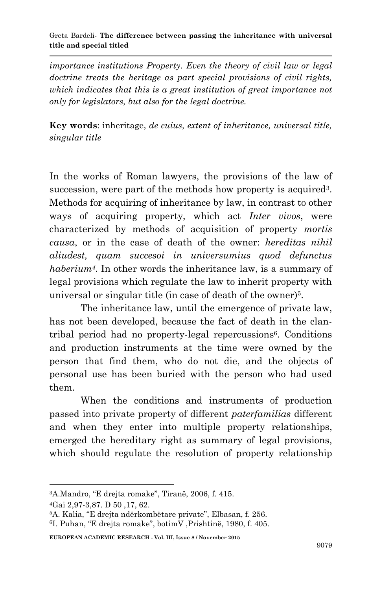#### Greta Bardeli*-* **The difference between passing the inheritance with universal title and special titled**

*importance institutions Property. Even the theory of civil law or legal doctrine treats the heritage as part special provisions of civil rights, which indicates that this is a great institution of great importance not only for legislators, but also for the legal doctrine.*

**Key words**: inheritage, *de cuius, extent of inheritance, universal title, singular title*

In the works of Roman lawyers, the provisions of the law of succession, were part of the methods how property is acquired<sup>3</sup>. Methods for acquiring of inheritance by law, in contrast to other ways of acquiring property, which act *Inter vivos*, were characterized by methods of acquisition of property *mortis causa*, or in the case of death of the owner: *hereditas nihil aliudest, quam succesoi in universumius quod defunctus haberium4*. In other words the inheritance law, is a summary of legal provisions which regulate the law to inherit property with universal or singular title (in case of death of the owner)<sup>5</sup>.

The inheritance law, until the emergence of private law, has not been developed, because the fact of death in the clantribal period had no property-legal repercussions<sup>6</sup>. Conditions and production instruments at the time were owned by the person that find them, who do not die, and the objects of personal use has been buried with the person who had used them.

When the conditions and instruments of production passed into private property of different *paterfamilias* different and when they enter into multiple property relationships, emerged the hereditary right as summary of legal provisions, which should regulate the resolution of property relationship

1

**EUROPEAN ACADEMIC RESEARCH - Vol. III, Issue 8 / November 2015**

<sup>3</sup>A.Mandro, "E drejta romake", Tiranë, 2006, f. 415.

<sup>4</sup>Gai 2,97-3,87. D 50 ,17, 62.

<sup>5</sup>A. Kalia, "E drejta ndërkombëtare private", Elbasan, f. 256.

<sup>6</sup>I. Puhan, "E drejta romake", botimV ,Prishtinë, 1980, f. 405.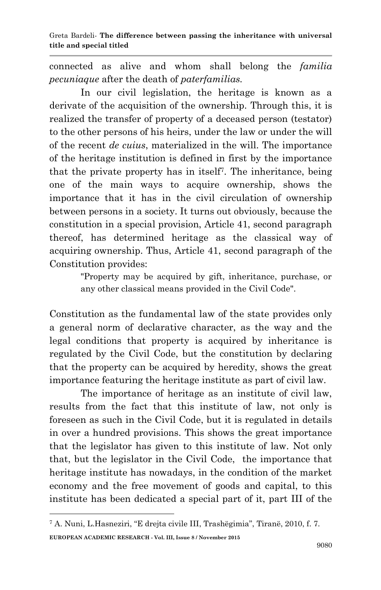connected as alive and whom shall belong the *familia pecuniaque* after the death of *paterfamilias.* 

In our civil legislation, the heritage is known as a derivate of the acquisition of the ownership. Through this, it is realized the transfer of property of a deceased person (testator) to the other persons of his heirs, under the law or under the will of the recent *de cuius*, materialized in the will. The importance of the heritage institution is defined in first by the importance that the private property has in itself<sup>7</sup> . The inheritance, being one of the main ways to acquire ownership, shows the importance that it has in the civil circulation of ownership between persons in a society. It turns out obviously, because the constitution in a special provision, Article 41, second paragraph thereof, has determined heritage as the classical way of acquiring ownership. Thus, Article 41, second paragraph of the Constitution provides:

> "Property may be acquired by gift, inheritance, purchase, or any other classical means provided in the Civil Code".

Constitution as the fundamental law of the state provides only a general norm of declarative character, as the way and the legal conditions that property is acquired by inheritance is regulated by the Civil Code, but the constitution by declaring that the property can be acquired by heredity, shows the great importance featuring the heritage institute as part of civil law.

The importance of heritage as an institute of civil law, results from the fact that this institute of law, not only is foreseen as such in the Civil Code, but it is regulated in details in over a hundred provisions. This shows the great importance that the legislator has given to this institute of law. Not only that, but the legislator in the Civil Code, the importance that heritage institute has nowadays, in the condition of the market economy and the free movement of goods and capital, to this institute has been dedicated a special part of it, part III of the

**.** 

**EUROPEAN ACADEMIC RESEARCH - Vol. III, Issue 8 / November 2015** <sup>7</sup> A. Nuni, L.Hasneziri, "E drejta civile III, Trashëgimia", Tiranë, 2010, f. 7.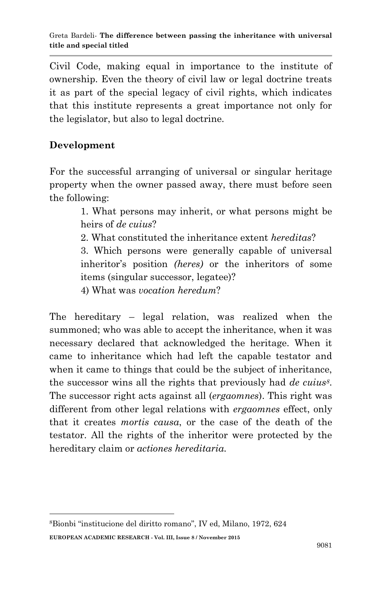Civil Code, making equal in importance to the institute of ownership. Even the theory of civil law or legal doctrine treats it as part of the special legacy of civil rights, which indicates that this institute represents a great importance not only for the legislator, but also to legal doctrine.

# **Development**

**.** 

For the successful arranging of universal or singular heritage property when the owner passed away, there must before seen the following:

> 1. What persons may inherit, or what persons might be heirs of *de cuius*?

2. What constituted the inheritance extent *hereditas*?

3. Which persons were generally capable of universal inheritor's position *(heres)* or the inheritors of some items (singular successor, legatee)?

4) What was *vocation heredum*?

The hereditary – legal relation, was realized when the summoned; who was able to accept the inheritance, when it was necessary declared that acknowledged the heritage. When it came to inheritance which had left the capable testator and when it came to things that could be the subject of inheritance, the successor wins all the rights that previously had *de cuius8*. The successor right acts against all (*ergaomnes*). This right was different from other legal relations with *ergaomnes* effect, only that it creates *mortis causa*, or the case of the death of the testator. All the rights of the inheritor were protected by the hereditary claim or *actiones hereditaria.*

**EUROPEAN ACADEMIC RESEARCH - Vol. III, Issue 8 / November 2015** 8Bionbi "institucione del diritto romano", IV ed, Milano, 1972, 624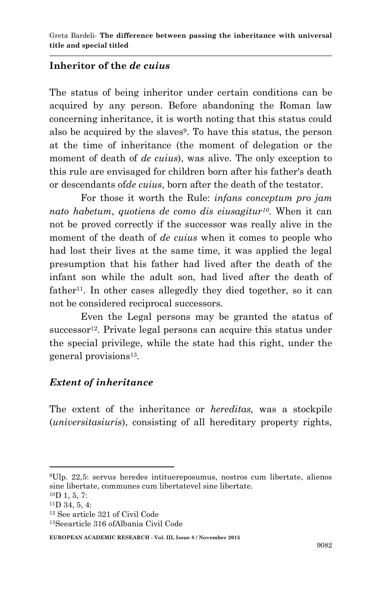#### **Inheritor of the** *de cuius*

The status of being inheritor under certain conditions can be acquired by any person. Before abandoning the Roman law concerning inheritance, it is worth noting that this status could also be acquired by the slaves<sup>9</sup>. To have this status, the person at the time of inheritance (the moment of delegation or the moment of death of *de cuius*), was alive. The only exception to this rule are envisaged for children born after his father's death or descendants of*de cuius*, born after the death of the testator.

For those it worth the Rule: *infans conceptum pro jam nato habetum*, *quotiens de como dis eiusagitur10*. When it can not be proved correctly if the successor was really alive in the moment of the death of *de cuius* when it comes to people who had lost their lives at the same time, it was applied the legal presumption that his father had lived after the death of the infant son while the adult son, had lived after the death of  $father<sup>11</sup>$ . In other cases allegedly they died together, so it can not be considered reciprocal successors.

Even the Legal persons may be granted the status of  $successor<sup>12</sup>$ . Private legal persons can acquire this status under the special privilege, while the state had this right, under the general provisions 13 .

#### *Extent of inheritance*

The extent of the inheritance or *hereditas,* was a stockpile (*universitasiuris*), consisting of all hereditary property rights,

**.** 

**EUROPEAN ACADEMIC RESEARCH - Vol. III, Issue 8 / November 2015**

<sup>9</sup>Ulp. 22,5: servus heredes intituereposumus, nostros cum libertate, alienos sine libertate, communes cum libertatevel sine libertate.

 $10D$  1, 5, 7:

 $11D$  34, 5, 4:

<sup>12</sup> See article 321 of Civil Code 13Seearticle 316 ofAlbania Civil Code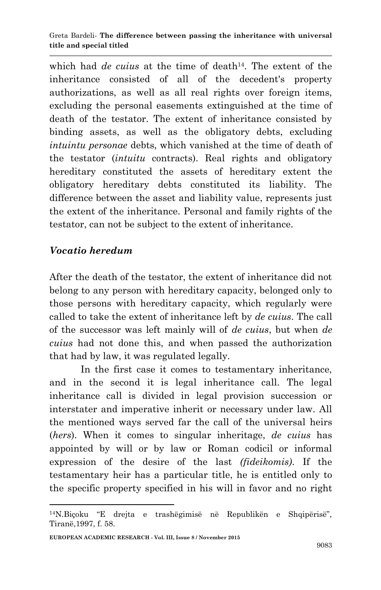which had *de cuius* at the time of death<sup>14</sup>. The extent of the inheritance consisted of all of the decedent's property authorizations, as well as all real rights over foreign items, excluding the personal easements extinguished at the time of death of the testator. The extent of inheritance consisted by binding assets, as well as the obligatory debts, excluding *intuintu personae* debts, which vanished at the time of death of the testator (*intuitu* contracts). Real rights and obligatory hereditary constituted the assets of hereditary extent the obligatory hereditary debts constituted its liability. The difference between the asset and liability value, represents just the extent of the inheritance. Personal and family rights of the testator, can not be subject to the extent of inheritance.

### *Vocatio heredum*

1

After the death of the testator, the extent of inheritance did not belong to any person with hereditary capacity, belonged only to those persons with hereditary capacity, which regularly were called to take the extent of inheritance left by *de cuius*. The call of the successor was left mainly will of *de cuius*, but when *de cuius* had not done this, and when passed the authorization that had by law, it was regulated legally.

In the first case it comes to testamentary inheritance, and in the second it is legal inheritance call. The legal inheritance call is divided in legal provision succession or interstater and imperative inherit or necessary under law. All the mentioned ways served far the call of the universal heirs (*hers*). When it comes to singular inheritage, *de cuius* has appointed by will or by law or Roman codicil or informal expression of the desire of the last *(fideikomis)*. If the testamentary heir has a particular title, he is entitled only to the specific property specified in his will in favor and no right

<sup>14</sup>N.Biçoku "E drejta e trashëgimisë në Republikën e Shqipërisë", Tiranë,1997, f. 58.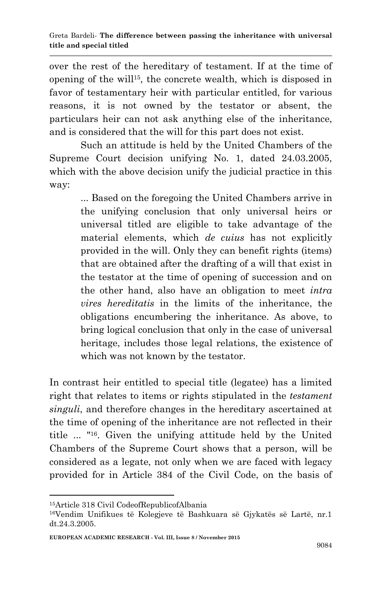over the rest of the hereditary of testament. If at the time of opening of the will15, the concrete wealth, which is disposed in favor of testamentary heir with particular entitled, for various reasons, it is not owned by the testator or absent, the particulars heir can not ask anything else of the inheritance, and is considered that the will for this part does not exist.

Such an attitude is held by the United Chambers of the Supreme Court decision unifying No. 1, dated 24.03.2005, which with the above decision unify the judicial practice in this way:

> ... Based on the foregoing the United Chambers arrive in the unifying conclusion that only universal heirs or universal titled are eligible to take advantage of the material elements, which *de cuius* has not explicitly provided in the will. Only they can benefit rights (items) that are obtained after the drafting of a will that exist in the testator at the time of opening of succession and on the other hand, also have an obligation to meet *intra vires hereditatis* in the limits of the inheritance, the obligations encumbering the inheritance. As above, to bring logical conclusion that only in the case of universal heritage, includes those legal relations, the existence of which was not known by the testator.

In contrast heir entitled to special title (legatee) has a limited right that relates to items or rights stipulated in the *testament singuli*, and therefore changes in the hereditary ascertained at the time of opening of the inheritance are not reflected in their title ... "16. Given the unifying attitude held by the United Chambers of the Supreme Court shows that a person, will be considered as a legate, not only when we are faced with legacy provided for in Article 384 of the Civil Code, on the basis of

1

<sup>15</sup>Article 318 Civil CodeofRepublicofAlbania

<sup>16</sup>Vendim Unifikues të Kolegjeve të Bashkuara së Gjykatës së Lartë, nr.1 dt.24.3.2005.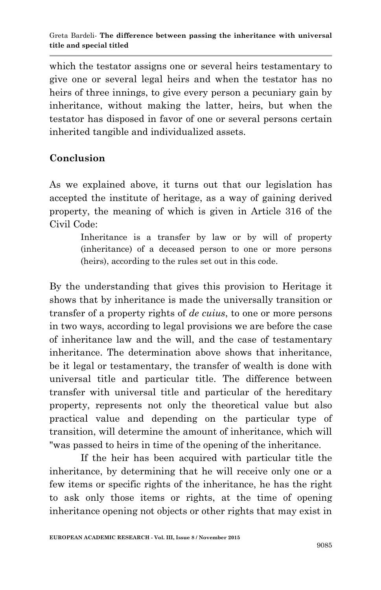which the testator assigns one or several heirs testamentary to give one or several legal heirs and when the testator has no heirs of three innings, to give every person a pecuniary gain by inheritance, without making the latter, heirs, but when the testator has disposed in favor of one or several persons certain inherited tangible and individualized assets.

# **Conclusion**

As we explained above, it turns out that our legislation has accepted the institute of heritage, as a way of gaining derived property, the meaning of which is given in Article 316 of the Civil Code:

> Inheritance is a transfer by law or by will of property (inheritance) of a deceased person to one or more persons (heirs), according to the rules set out in this code.

By the understanding that gives this provision to Heritage it shows that by inheritance is made the universally transition or transfer of a property rights of *de cuius*, to one or more persons in two ways, according to legal provisions we are before the case of inheritance law and the will, and the case of testamentary inheritance. The determination above shows that inheritance, be it legal or testamentary, the transfer of wealth is done with universal title and particular title. The difference between transfer with universal title and particular of the hereditary property, represents not only the theoretical value but also practical value and depending on the particular type of transition, will determine the amount of inheritance, which will "was passed to heirs in time of the opening of the inheritance.

If the heir has been acquired with particular title the inheritance, by determining that he will receive only one or a few items or specific rights of the inheritance, he has the right to ask only those items or rights, at the time of opening inheritance opening not objects or other rights that may exist in